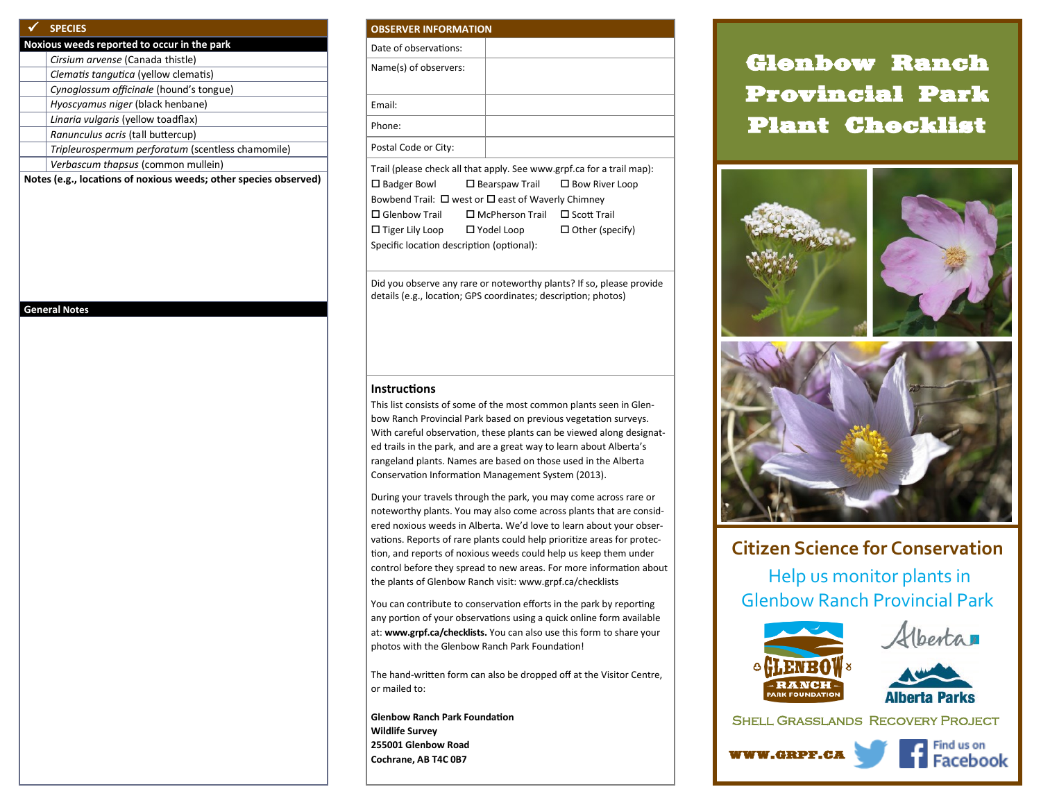### **SPECIES**

| Noxious weeds reported to occur in the park |                                                   |  |
|---------------------------------------------|---------------------------------------------------|--|
|                                             | Cirsium arvense (Canada thistle)                  |  |
|                                             | Clematis tangutica (yellow clematis)              |  |
|                                             | Cynoglossum officinale (hound's tongue)           |  |
|                                             | Hyoscyamus niger (black henbane)                  |  |
|                                             | Linaria vulgaris (yellow toadflax)                |  |
|                                             | Ranunculus acris (tall buttercup)                 |  |
|                                             | Tripleurospermum perforatum (scentless chamomile) |  |
|                                             | Verbascum thapsus (common mullein)                |  |
|                                             | .                                                 |  |

**Notes (e.g., locations of noxious weeds; other species observed)**

#### **General Notes**

#### **OBSERVER INFORMATION**

| ------------------------ |  |  |  |
|--------------------------|--|--|--|
| Date of observations:    |  |  |  |
| Name(s) of observers:    |  |  |  |
| Email:                   |  |  |  |
| Phone:                   |  |  |  |
| Postal Code or City:     |  |  |  |

Trail (please check all that apply. See www.grpf.ca for a trail map):  $\Box$  Badger Bowl  $\Box$  Bearspaw Trail  $\Box$  Bow River Loop Bowbend Trail:  $\Box$  west or  $\Box$  east of Waverly Chimney Glenbow Trail McPherson Trail Scott Trail  $\square$  Tiger Lily Loop  $\square$  Yodel Loop  $\square$  Other (specify) Specific location description (optional):

Did you observe any rare or noteworthy plants? If so, please provide details (e.g., location; GPS coordinates; description; photos)

#### **Instructions**

This list consists of some of the most common plants seen in Glenbow Ranch Provincial Park based on previous vegetation surveys. With careful observation, these plants can be viewed along designated trails in the park, and are a great way to learn about Alberta's rangeland plants. Names are based on those used in the Alberta Conservation Information Management System (2013).

During your travels through the park, you may come across rare or noteworthy plants. You may also come across plants that are considered noxious weeds in Alberta. We'd love to learn about your observations. Reports of rare plants could help prioritize areas for protection, and reports of noxious weeds could help us keep them under control before they spread to new areas. For more information about the plants of Glenbow Ranch visit: www.grpf.ca/checklists

You can contribute to conservation efforts in the park by reporting any portion of your observations using a quick online form available at: **www.grpf.ca/checklists.** You can also use this form to share your photos with the Glenbow Ranch Park Foundation!

The hand-written form can also be dropped off at the Visitor Centre, or mailed to:

**Glenbow Ranch Park Foundation Wildlife Survey 255001 Glenbow Road Cochrane, AB T4C 0B7** Note that the company of the contract of the contract of the contract of the contract of the contract of the contract of the contract of the contract of the contract of the contract of the contract o

# Glenbow Ranch Provincial Park Plant Checklist



## **Citizen Science for Conservation**

Help us monitor plants in Glenbow Ranch Provincial Park







Shell Grasslands Recovery Project